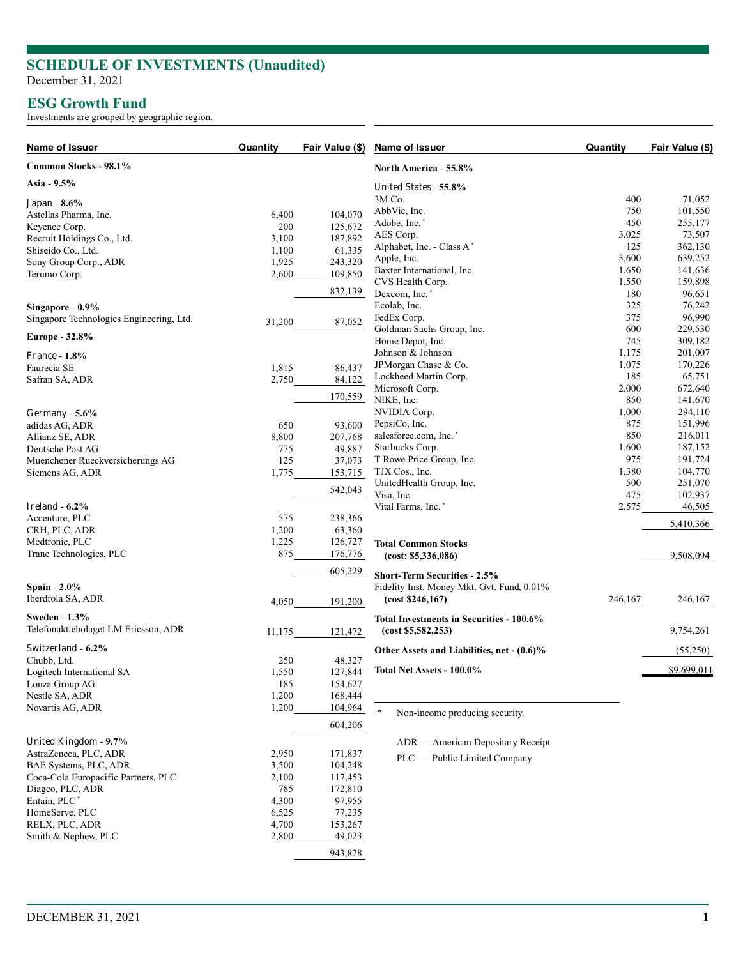## **SCHEDULE OF INVESTMENTS (Unaudited)**

December 31, 2021

## **ESG Growth Fund**

Investments are grouped by geographic region.

| Name of Issuer                           | Quantity | Fair Value (\$) | Name of Issuer                             | Quantity | Fair Value (\$) |
|------------------------------------------|----------|-----------------|--------------------------------------------|----------|-----------------|
| Common Stocks - 98.1%                    |          |                 | North America - 55.8%                      |          |                 |
| Asia - 9.5%                              |          |                 | United States - 55.8%                      |          |                 |
| Japan - 8.6%                             |          |                 | 3M Co.                                     | 400      | 71,052          |
| Astellas Pharma, Inc.                    | 6,400    | 104,070         | AbbVie, Inc.                               | 750      | 101,550         |
| Keyence Corp.                            | 200      | 125,672         | Adobe, Inc.                                | 450      | 255,177         |
| Recruit Holdings Co., Ltd.               | 3,100    | 187,892         | AES Corp.                                  | 3,025    | 73,507          |
| Shiseido Co., Ltd.                       | 1,100    | 61,335          | Alphabet, Inc. - Class A*                  | 125      | 362,130         |
| Sony Group Corp., ADR                    | 1,925    | 243,320         | Apple, Inc.                                | 3,600    | 639,252         |
|                                          | 2,600    | 109,850         | Baxter International, Inc.                 | 1,650    | 141,636         |
| Terumo Corp.                             |          |                 | CVS Health Corp.                           | 1,550    | 159,898         |
|                                          |          | 832,139         | Dexcom, Inc.                               | 180      | 96,651          |
| Singapore - 0.9%                         |          |                 | Ecolab, Inc.                               | 325      | 76,242          |
| Singapore Technologies Engineering, Ltd. |          |                 | FedEx Corp.                                | 375      | 96,990          |
|                                          | 31,200   | 87,052          | Goldman Sachs Group, Inc.                  | 600      | 229,530         |
| Europe - 32.8%                           |          |                 | Home Depot, Inc.                           | 745      | 309,182         |
|                                          |          |                 | Johnson & Johnson                          | 1,175    | 201,007         |
| <b>France - 1.8%</b>                     |          |                 | JPMorgan Chase & Co.                       | 1,075    | 170,226         |
| Faurecia SE                              | 1,815    | 86,437          |                                            |          |                 |
| Safran SA, ADR                           | 2,750    | 84,122          | Lockheed Martin Corp.                      | 185      | 65,751          |
|                                          |          | 170,559         | Microsoft Corp.                            | 2,000    | 672,640         |
|                                          |          |                 | NIKE, Inc.                                 | 850      | 141,670         |
| Germany - $5.6\%$                        |          |                 | NVIDIA Corp.                               | 1,000    | 294,110         |
| adidas AG, ADR                           | 650      | 93,600          | PepsiCo, Inc.                              | 875      | 151,996         |
| Allianz SE, ADR                          | 8,800    | 207,768         | salesforce.com, Inc. <sup>*</sup>          | 850      | 216,011         |
| Deutsche Post AG                         | 775      | 49,887          | Starbucks Corp.                            | 1,600    | 187,152         |
| Muenchener Rueckversicherungs AG         | 125      | 37,073          | T Rowe Price Group, Inc.                   | 975      | 191,724         |
| Siemens AG, ADR                          | 1,775    | 153,715         | TJX Cos., Inc.                             | 1,380    | 104,770         |
|                                          |          |                 | UnitedHealth Group, Inc.                   | 500      | 251,070         |
|                                          |          | 542,043         | Visa, Inc.                                 | 475      | 102,937         |
| Ireland - 6.2%                           |          |                 | Vital Farms, Inc. <sup>*</sup>             | 2,575    | 46,505          |
| Accenture, PLC                           | 575      | 238,366         |                                            |          | 5,410,366       |
| CRH, PLC, ADR                            | 1,200    | 63,360          |                                            |          |                 |
| Medtronic, PLC                           | 1,225    | 126,727         | <b>Total Common Stocks</b>                 |          |                 |
| Trane Technologies, PLC                  | 875      | 176,776         | (cost: \$5,336,086)                        |          | 9,508,094       |
|                                          |          |                 |                                            |          |                 |
|                                          |          | 605,229         | <b>Short-Term Securities - 2.5%</b>        |          |                 |
| Spain - 2.0%                             |          |                 | Fidelity Inst. Money Mkt. Gvt. Fund, 0.01% |          |                 |
| Iberdrola SA, ADR                        | 4,050    | 191,200         | (cost \$246,167)                           | 246,167  | 246,167         |
| Sweden - 1.3%                            |          |                 | Total Investments in Securities - 100.6%   |          |                 |
| Telefonaktiebolaget LM Ericsson, ADR     | 11,175   | 121,472         | (cost \$5,582,253)                         |          | 9,754,261       |
| <b>Switzerland - 6.2%</b>                |          |                 | Other Assets and Liabilities, net - (0.6)% |          | (55,250)        |
| Chubb, Ltd.                              | 250      | 48,327          |                                            |          |                 |
| <b>Logitech International SA</b>         | 1,550    | 127,844         | Total Net Assets - 100.0%                  |          | \$9,699,011     |
| Lonza Group AG                           | 185      | 154,627         |                                            |          |                 |
| Nestle SA, ADR                           | 1,200    | 168,444         |                                            |          |                 |
| Novartis AG, ADR                         | 1,200    | 104,964         |                                            |          |                 |
|                                          |          |                 | $\ast$<br>Non-income producing security.   |          |                 |
|                                          |          | 604,206         |                                            |          |                 |
| <b>United Kingdom - 9.7%</b>             |          |                 | ADR — American Depositary Receipt          |          |                 |
| AstraZeneca, PLC, ADR                    | 2,950    | 171,837         | PLC — Public Limited Company               |          |                 |
| BAE Systems, PLC, ADR                    | 3,500    | 104,248         |                                            |          |                 |
| Coca-Cola Europacific Partners, PLC      | 2,100    | 117,453         |                                            |          |                 |
| Diageo, PLC, ADR                         | 785      | 172,810         |                                            |          |                 |
| Entain, PLC <sup>*</sup>                 | 4,300    | 97,955          |                                            |          |                 |
| HomeServe, PLC                           | 6,525    | 77,235          |                                            |          |                 |
| RELX, PLC, ADR                           | 4,700    | 153,267         |                                            |          |                 |
| Smith & Nephew, PLC                      | 2,800    | 49,023          |                                            |          |                 |
|                                          |          | 943,828         |                                            |          |                 |